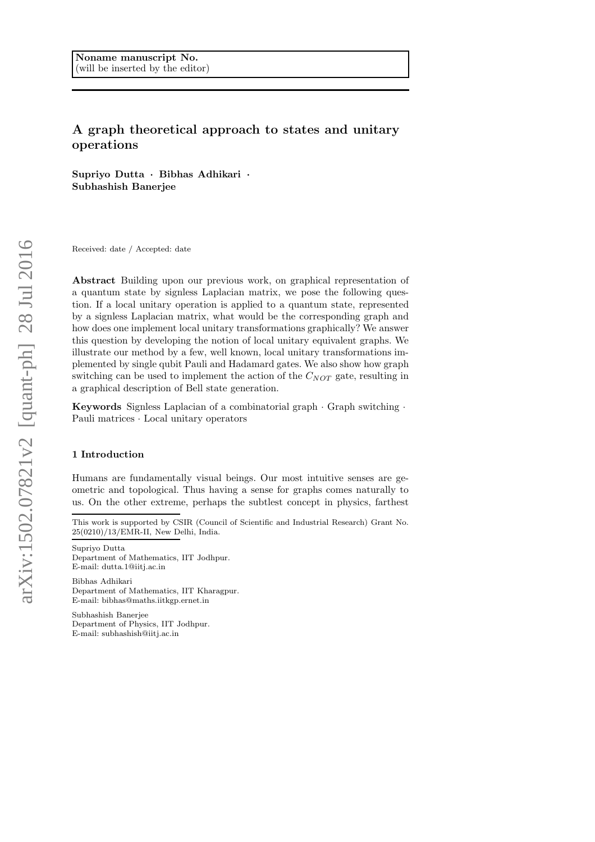# A graph theoretical approach to states and unitary operations

Supriyo Dutta · Bibhas Adhikari · Subhashish Banerjee

Received: date / Accepted: date

Abstract Building upon our previous work, on graphical representation of a quantum state by signless Laplacian matrix, we pose the following question. If a local unitary operation is applied to a quantum state, represented by a signless Laplacian matrix, what would be the corresponding graph and how does one implement local unitary transformations graphically? We answer this question by developing the notion of local unitary equivalent graphs. We illustrate our method by a few, well known, local unitary transformations implemented by single qubit Pauli and Hadamard gates. We also show how graph switching can be used to implement the action of the  $C_{NOT}$  gate, resulting in a graphical description of Bell state generation.

Keywords Signless Laplacian of a combinatorial graph · Graph switching · Pauli matrices · Local unitary operators

## 1 Introduction

Humans are fundamentally visual beings. Our most intuitive senses are geometric and topological. Thus having a sense for graphs comes naturally to us. On the other extreme, perhaps the subtlest concept in physics, farthest

Bibhas Adhikari Department of Mathematics, IIT Kharagpur. E-mail: bibhas@maths.iitkgp.ernet.in

Subhashish Banerjee Department of Physics, IIT Jodhpur. E-mail: subhashish@iitj.ac.in

This work is supported by CSIR (Council of Scientific and Industrial Research) Grant No. 25(0210)/13/EMR-II, New Delhi, India.

Supriyo Dutta Department of Mathematics, IIT Jodhpur. E-mail: dutta.1@iitj.ac.in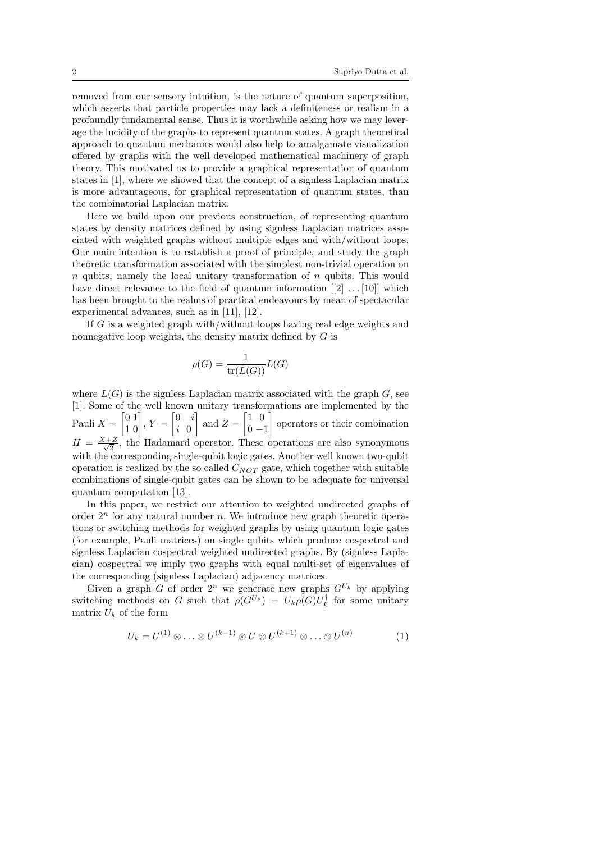removed from our sensory intuition, is the nature of quantum superposition, which asserts that particle properties may lack a definiteness or realism in a profoundly fundamental sense. Thus it is worthwhile asking how we may leverage the lucidity of the graphs to represent quantum states. A graph theoretical approach to quantum mechanics would also help to amalgamate visualization offered by graphs with the well developed mathematical machinery of graph theory. This motivated us to provide a graphical representation of quantum states in [1], where we showed that the concept of a signless Laplacian matrix is more advantageous, for graphical representation of quantum states, than the combinatorial Laplacian matrix.

Here we build upon our previous construction, of representing quantum states by density matrices defined by using signless Laplacian matrices associated with weighted graphs without multiple edges and with/without loops. Our main intention is to establish a proof of principle, and study the graph theoretic transformation associated with the simplest non-trivial operation on  $n$  qubits, namely the local unitary transformation of  $n$  qubits. This would have direct relevance to the field of quantum information  $[2] \dots [10]$  which has been brought to the realms of practical endeavours by mean of spectacular experimental advances, such as in [11], [12].

If G is a weighted graph with/without loops having real edge weights and nonnegative loop weights, the density matrix defined by G is

$$
\rho(G) = \frac{1}{\text{tr}(L(G))}L(G)
$$

where  $L(G)$  is the signless Laplacian matrix associated with the graph G, see [1]. Some of the well known unitary transformations are implemented by the Pauli  $X =$  $\begin{bmatrix} 0 & 1 \\ 1 & 0 \end{bmatrix}$ ,  $Y =$  $\left[0 - i\right]$ i 0 1 and  $Z =$  $\begin{bmatrix} 1 & 0 \end{bmatrix}$  $0 -1$ 1 operators or their combination  $H = \frac{X+Z}{\sqrt{2}}$  $\frac{2}{2}$ , the Hadamard operator. These operations are also synonymous with the corresponding single-qubit logic gates. Another well known two-qubit operation is realized by the so called  $C_{NOT}$  gate, which together with suitable combinations of single-qubit gates can be shown to be adequate for universal quantum computation [13].

In this paper, we restrict our attention to weighted undirected graphs of order  $2^n$  for any natural number n. We introduce new graph theoretic operations or switching methods for weighted graphs by using quantum logic gates (for example, Pauli matrices) on single qubits which produce cospectral and signless Laplacian cospectral weighted undirected graphs. By (signless Laplacian) cospectral we imply two graphs with equal multi-set of eigenvalues of the corresponding (signless Laplacian) adjacency matrices.

Given a graph G of order  $2^n$  we generate new graphs  $G^{U_k}$  by applying switching methods on G such that  $\rho(G^{U_k}) = U_k \rho(G) U_k^{\dagger}$  for some unitary matrix  $U_k$  of the form

$$
U_k = U^{(1)} \otimes \ldots \otimes U^{(k-1)} \otimes U \otimes U^{(k+1)} \otimes \ldots \otimes U^{(n)} \tag{1}
$$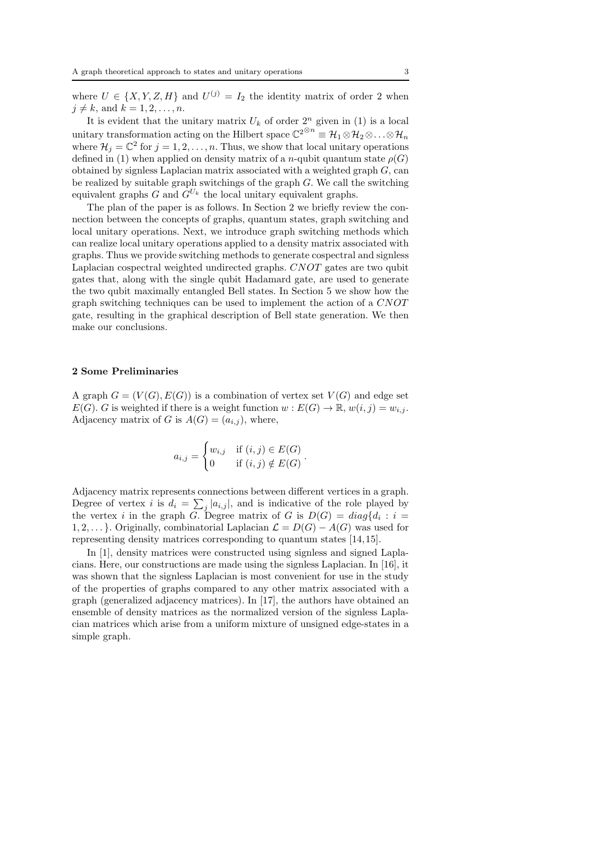where  $U \in \{X, Y, Z, H\}$  and  $U^{(j)} = I_2$  the identity matrix of order 2 when  $j \neq k$ , and  $k = 1, 2, \ldots, n$ .

It is evident that the unitary matrix  $U_k$  of order  $2^n$  given in (1) is a local unitary transformation acting on the Hilbert space  $\mathbb{C}^{2^{\otimes n}} \equiv \mathcal{H}_1 \otimes \mathcal{H}_2 \otimes \ldots \otimes \mathcal{H}_n$ where  $\mathcal{H}_j = \mathbb{C}^2$  for  $j = 1, 2, ..., n$ . Thus, we show that local unitary operations defined in (1) when applied on density matrix of a n-qubit quantum state  $\rho(G)$ obtained by signless Laplacian matrix associated with a weighted graph  $G$ , can be realized by suitable graph switchings of the graph  $G$ . We call the switching equivalent graphs  $G$  and  $G^{U_k}$  the local unitary equivalent graphs.

The plan of the paper is as follows. In Section 2 we briefly review the connection between the concepts of graphs, quantum states, graph switching and local unitary operations. Next, we introduce graph switching methods which can realize local unitary operations applied to a density matrix associated with graphs. Thus we provide switching methods to generate cospectral and signless Laplacian cospectral weighted undirected graphs. CNOT gates are two qubit gates that, along with the single qubit Hadamard gate, are used to generate the two qubit maximally entangled Bell states. In Section 5 we show how the graph switching techniques can be used to implement the action of a CNOT gate, resulting in the graphical description of Bell state generation. We then make our conclusions.

### 2 Some Preliminaries

A graph  $G = (V(G), E(G))$  is a combination of vertex set  $V(G)$  and edge set  $E(G)$ . G is weighted if there is a weight function  $w : E(G) \to \mathbb{R}, w(i,j) = w_{i,j}$ . Adjacency matrix of G is  $A(G) = (a_{i,j})$ , where,

$$
a_{i,j} = \begin{cases} w_{i,j} & \text{if } (i,j) \in E(G) \\ 0 & \text{if } (i,j) \notin E(G) \end{cases}.
$$

Adjacency matrix represents connections between different vertices in a graph. Degree of vertex *i* is  $d_i = \sum_j |a_{i,j}|$ , and is indicative of the role played by the vertex *i* in the graph *G*. Degree matrix of *G* is  $D(G) = diag{d_i : i =$ 1, 2, ... }. Originally, combinatorial Laplacian  $\mathcal{L} = D(G) - A(G)$  was used for representing density matrices corresponding to quantum states [14,15].

In [1], density matrices were constructed using signless and signed Laplacians. Here, our constructions are made using the signless Laplacian. In [16], it was shown that the signless Laplacian is most convenient for use in the study of the properties of graphs compared to any other matrix associated with a graph (generalized adjacency matrices). In [17], the authors have obtained an ensemble of density matrices as the normalized version of the signless Laplacian matrices which arise from a uniform mixture of unsigned edge-states in a simple graph.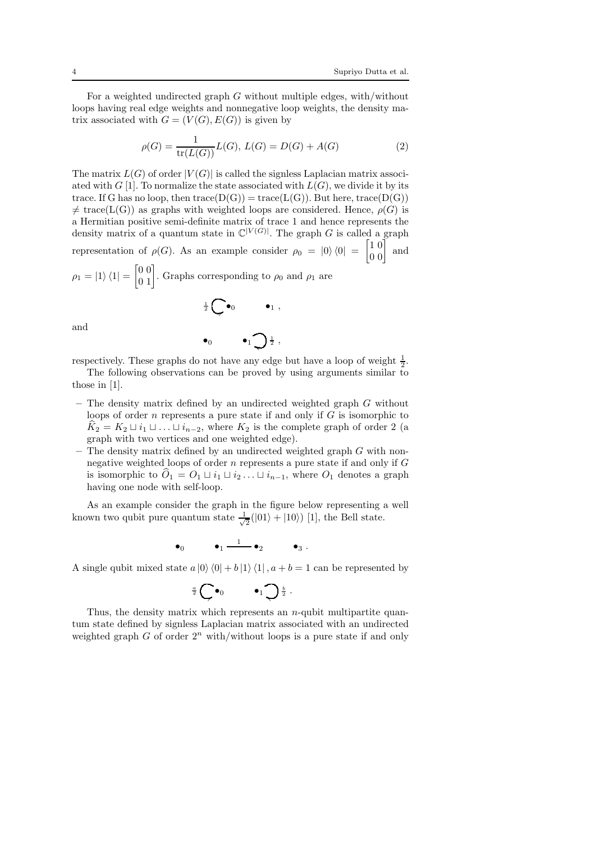For a weighted undirected graph  $G$  without multiple edges, with/without loops having real edge weights and nonnegative loop weights, the density matrix associated with  $G = (V(G), E(G))$  is given by

$$
\rho(G) = \frac{1}{\text{tr}(L(G))} L(G), L(G) = D(G) + A(G)
$$
\n(2)

The matrix  $L(G)$  of order  $|V(G)|$  is called the signless Laplacian matrix associated with G [1]. To normalize the state associated with  $L(G)$ , we divide it by its trace. If G has no loop, then  $trace(D(G)) = trace(L(G))$ . But here, trace(D(G))  $\neq$  trace(L(G)) as graphs with weighted loops are considered. Hence,  $\rho(G)$  is a Hermitian positive semi-definite matrix of trace 1 and hence represents the density matrix of a quantum state in  $\mathbb{C}^{|V(G)|}$ . The graph G is called a graph representation of  $\rho(G)$ . As an example consider  $\rho_0 = |0\rangle \langle 0| =$  $\begin{bmatrix} 1 & 0 \\ 0 & 0 \end{bmatrix}$  and  $\rho_1 = |1\rangle \langle 1| =$  $\begin{bmatrix} 0 & 0 \\ 0 & 1 \end{bmatrix}$ . Graphs corresponding to  $\rho_0$  and  $\rho_1$  are

$$
\frac{1}{2}\bigodot \bullet_0 \qquad \bullet_1,
$$

and

$$
\bullet_0 \qquad \bullet_1 \bigcirc \frac{1}{2} \ ,
$$

respectively. These graphs do not have any edge but have a loop of weight  $\frac{1}{2}$ .

- The following observations can be proved by using arguments similar to those in [1].
- $-$  The density matrix defined by an undirected weighted graph  $G$  without loops of order  $n$  represents a pure state if and only if  $G$  is isomorphic to  $K_2 = K_2 \sqcup i_1 \sqcup \ldots \sqcup i_{n-2}$ , where  $K_2$  is the complete graph of order 2 (a graph with two vertices and one weighted edge).
- $-$  The density matrix defined by an undirected weighted graph  $G$  with nonnegative weighted loops of order  $n$  represents a pure state if and only if  $G$ is isomorphic to  $\ddot{O}_1 = O_1 \sqcup i_1 \sqcup i_2 \ldots \sqcup i_{n-1}$ , where  $O_1$  denotes a graph having one node with self-loop.

As an example consider the graph in the figure below representing a well known two qubit pure quantum state  $\frac{1}{\sqrt{2}}$  $\frac{1}{2}(|01\rangle + |10\rangle)$  [1], the Bell state.

$$
\bullet_0 \qquad \quad \bullet_1 \stackrel{1}{-\!\!\!-\!\!\!-\!\!\!-\!\!\!-\!\!\!\longrightarrow} \bullet_2 \qquad \quad \bullet_3 \;.
$$

A single qubit mixed state  $a |0\rangle\langle 0| + b |1\rangle\langle 1|$ ,  $a + b = 1$  can be represented by

$$
\frac{a}{2}\bigodot \bullet_0 \qquad \bullet_1 \bigodot \frac{b}{2} .
$$

Thus, the density matrix which represents an  $n$ -qubit multipartite quantum state defined by signless Laplacian matrix associated with an undirected weighted graph  $G$  of order  $2^n$  with/without loops is a pure state if and only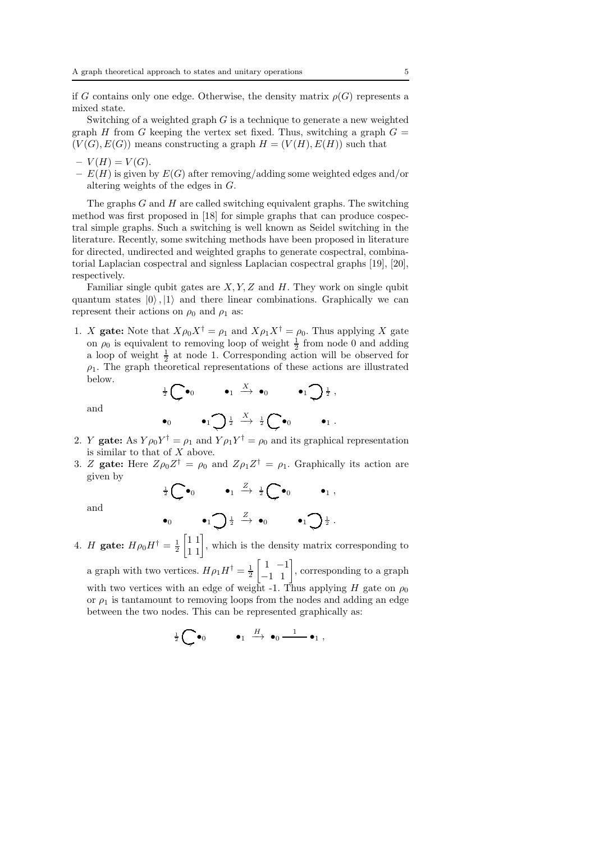if G contains only one edge. Otherwise, the density matrix  $\rho(G)$  represents a mixed state.

Switching of a weighted graph  $G$  is a technique to generate a new weighted graph H from G keeping the vertex set fixed. Thus, switching a graph  $G =$  $(V(G), E(G))$  means constructing a graph  $H = (V(H), E(H))$  such that

- $-V(H) = V(G).$
- $E(H)$  is given by  $E(G)$  after removing/adding some weighted edges and/or altering weights of the edges in G.

The graphs  $G$  and  $H$  are called switching equivalent graphs. The switching method was first proposed in [18] for simple graphs that can produce cospectral simple graphs. Such a switching is well known as Seidel switching in the literature. Recently, some switching methods have been proposed in literature for directed, undirected and weighted graphs to generate cospectral, combinatorial Laplacian cospectral and signless Laplacian cospectral graphs [19], [20], respectively.

Familiar single qubit gates are  $X, Y, Z$  and  $H$ . They work on single qubit quantum states  $|0\rangle$ ,  $|1\rangle$  and there linear combinations. Graphically we can represent their actions on  $\rho_0$  and  $\rho_1$  as:

1. X gate: Note that  $X\rho_0 X^{\dagger} = \rho_1$  and  $X\rho_1 X^{\dagger} = \rho_0$ . Thus applying X gate on  $\rho_0$  is equivalent to removing loop of weight  $\frac{1}{2}$  from node 0 and adding a loop of weight  $\frac{1}{2}$  at node 1. Corresponding action will be observed for  $\rho_1$ . The graph theoretical representations of these actions are illustrated below.  $\frac{1}{2} \bigodot \bullet_0$   $\bullet_1 \xrightarrow{X} \bullet_0$   $\bullet_1 \bigodot \frac{1}{2}$ ,

and

$$
\bullet_0 \qquad \bullet_1 \bigcirc \frac{1}{2} \xrightarrow{X} \frac{1}{2} \bigcirc \bullet_0 \qquad \bullet_1.
$$

- 2. Y **gate:** As  $Y \rho_0 Y^{\dagger} = \rho_1$  and  $Y \rho_1 Y^{\dagger} = \rho_0$  and its graphical representation is similar to that of  $X$  above.
- 3. Z gate: Here  $Z\rho_0 Z^{\dagger} = \rho_0$  and  $Z\rho_1 Z^{\dagger} = \rho_1$ . Graphically its action are given by

$$
\frac{1}{2}\bigodot \bullet_0 \qquad \bullet_1 \xrightarrow{Z} \frac{1}{2}\bigodot \bullet_0 \qquad \bullet_1 ,
$$

and

$$
\bullet_0 \qquad \bullet_1 \bigcirc \frac{1}{2} \xrightarrow{Z} \bullet_0 \qquad \bullet_1 \bigcirc \frac{1}{2}.
$$

4. *H* gate:  $H \rho_0 H^{\dagger} = \frac{1}{2}$  $\begin{bmatrix} 1 & 1 \\ 1 & 1 \end{bmatrix}$ , which is the density matrix corresponding to a graph with two vertices.  $H\rho_1 H^{\dagger} = \frac{1}{2}$  $\begin{bmatrix} 1 & -1 \\ -1 & 1 \end{bmatrix}$ , corresponding to a graph with two vertices with an edge of weight -1. Thus applying H gate on  $\rho_0$ or  $\rho_1$  is tantamount to removing loops from the nodes and adding an edge between the two nodes. This can be represented graphically as:

$$
\frac{1}{2} \bigodot \bullet_0 \qquad \bullet_1 \stackrel{H}{\longrightarrow} \bullet_0 \stackrel{1}{\longrightarrow} \bullet_1 ,
$$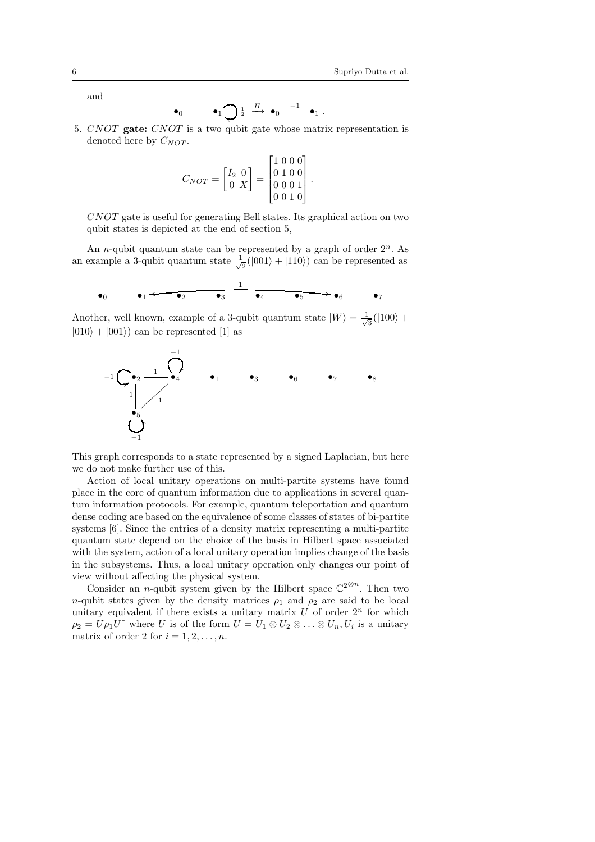and

$$
\bullet_0 \qquad \bullet_1 \bigcirc \frac{1}{2} \xrightarrow{H} \bullet_0 \xrightarrow{-1} \bullet_1.
$$

5. CNOT gate: CNOT is a two qubit gate whose matrix representation is denoted here by  $C_{NOT}$ .

$$
C_{NOT} = \begin{bmatrix} I_2 & 0 \\ 0 & X \end{bmatrix} = \begin{bmatrix} 1 & 0 & 0 & 0 \\ 0 & 1 & 0 & 0 \\ 0 & 0 & 0 & 1 \\ 0 & 0 & 1 & 0 \end{bmatrix}.
$$

CNOT gate is useful for generating Bell states. Its graphical action on two qubit states is depicted at the end of section 5,

An *n*-qubit quantum state can be represented by a graph of order  $2^n$ . As an example a 3-qubit quantum state  $\frac{1}{\sqrt{2}}$  $\frac{1}{2}(|001\rangle + |110\rangle)$  can be represented as

$$
\bullet_0 \qquad \bullet_1 \xleftarrow{\bullet_2} \qquad \bullet_3 \qquad \bullet_4 \qquad \bullet_5 \qquad \bullet_6 \qquad \bullet_7
$$

Another, well known, example of a 3-qubit quantum state  $|W\rangle = \frac{1}{\sqrt{2}}$  $\frac{1}{3}(|100\rangle +$  $|010\rangle + |001\rangle$  can be represented [1] as



This graph corresponds to a state represented by a signed Laplacian, but here we do not make further use of this.

Action of local unitary operations on multi-partite systems have found place in the core of quantum information due to applications in several quantum information protocols. For example, quantum teleportation and quantum dense coding are based on the equivalence of some classes of states of bi-partite systems [6]. Since the entries of a density matrix representing a multi-partite quantum state depend on the choice of the basis in Hilbert space associated with the system, action of a local unitary operation implies change of the basis in the subsystems. Thus, a local unitary operation only changes our point of view without affecting the physical system.

Consider an *n*-qubit system given by the Hilbert space  $\mathbb{C}^{2^{\otimes n}}$ . Then two n-qubit states given by the density matrices  $\rho_1$  and  $\rho_2$  are said to be local unitary equivalent if there exists a unitary matrix  $U$  of order  $2<sup>n</sup>$  for which  $\rho_2 = U \rho_1 U^{\dagger}$  where U is of the form  $U = U_1 \otimes U_2 \otimes \ldots \otimes U_n, U_i$  is a unitary matrix of order 2 for  $i = 1, 2, \ldots, n$ .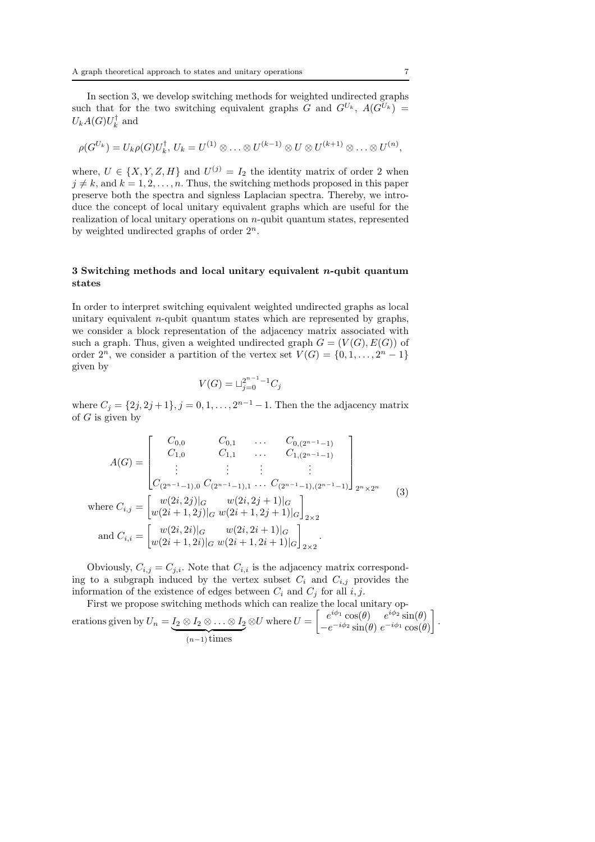In section 3, we develop switching methods for weighted undirected graphs such that for the two switching equivalent graphs G and  $G^{U_k}$ ,  $A(G^{U_k}) =$  $U_kA(G)U_k^{\dagger}$  and

$$
\rho(G^{U_k})=U_k\rho(G)U_k^{\dagger}, U_k=U^{(1)}\otimes \ldots \otimes U^{(k-1)}\otimes U\otimes U^{(k+1)}\otimes \ldots \otimes U^{(n)},
$$

where,  $U \in \{X, Y, Z, H\}$  and  $U^{(j)} = I_2$  the identity matrix of order 2 when  $j \neq k$ , and  $k = 1, 2, \ldots, n$ . Thus, the switching methods proposed in this paper preserve both the spectra and signless Laplacian spectra. Thereby, we introduce the concept of local unitary equivalent graphs which are useful for the realization of local unitary operations on n-qubit quantum states, represented by weighted undirected graphs of order  $2^n$ .

## 3 Switching methods and local unitary equivalent n-qubit quantum states

In order to interpret switching equivalent weighted undirected graphs as local unitary equivalent  $n$ -qubit quantum states which are represented by graphs, we consider a block representation of the adjacency matrix associated with such a graph. Thus, given a weighted undirected graph  $G = (V(G), E(G))$  of order  $2^n$ , we consider a partition of the vertex set  $V(G) = \{0, 1, ..., 2^n - 1\}$ given by

$$
V(G) = \sqcup_{j=0}^{2^{n-1}-1} C_j
$$

where  $C_j = \{2j, 2j+1\}, j = 0, 1, ..., 2^{n-1} - 1$ . Then the the adjacency matrix of  $G$  is given by

$$
A(G) = \begin{bmatrix} C_{0,0} & C_{0,1} & \dots & C_{0,(2^{n-1}-1)} \\ C_{1,0} & C_{1,1} & \dots & C_{1,(2^{n-1}-1)} \\ \vdots & \vdots & \vdots & \vdots \\ C_{(2^{n-1}-1),0} & C_{(2^{n-1}-1),1} & \dots & C_{(2^{n-1}-1),(2^{n-1}-1)} \end{bmatrix}_{2^{n} \times 2^{n}} \qquad (3)
$$
  
where  $C_{i,j} = \begin{bmatrix} w(2i,2j)|_{G} & w(2i,2j+1)|_{G} \\ w(2i+1,2j)|_{G} & w(2i+1,2j+1)|_{G} \end{bmatrix}_{2 \times 2}$   
and  $C_{i,i} = \begin{bmatrix} w(2i,2i)|_{G} & w(2i,2i+1)|_{G} \\ w(2i+1,2i)|_{G} & w(2i+1,2i+1)|_{G} \end{bmatrix}_{2 \times 2}.$ 

Obviously,  $C_{i,j} = C_{j,i}$ . Note that  $C_{i,i}$  is the adjacency matrix corresponding to a subgraph induced by the vertex subset  $C_i$  and  $C_{i,j}$  provides the information of the existence of edges between  $C_i$  and  $C_j$  for all i, j.

First we propose switching methods which can realize the local unitary operations given by  $U_n = \underbrace{I_2 \otimes I_2 \otimes \ldots \otimes I_2}$  $\overbrace{(n-1) \text{ times}}$  $\otimes U$  where  $U =$  $\int e^{i\phi_1} \cos(\theta) e^{i\phi_2} \sin(\theta)$  $-e^{-i\phi_2}\sin(\theta) e^{-i\phi_1}\cos(\theta)$ 1 .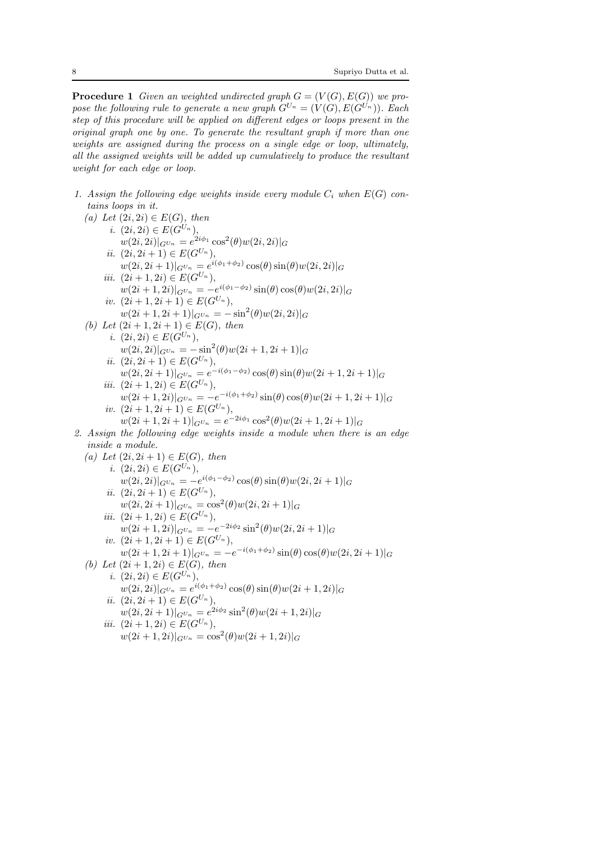**Procedure 1** Given an weighted undirected graph  $G = (V(G), E(G))$  we propose the following rule to generate a new graph  $G^{U_n} = (V(G), E(G^{U_n}))$ . Each step of this procedure will be applied on different edges or loops present in the original graph one by one. To generate the resultant graph if more than one weights are assigned during the process on a single edge or loop, ultimately, all the assigned weights will be added up cumulatively to produce the resultant weight for each edge or loop.

1. Assign the following edge weights inside every module  $C_i$  when  $E(G)$  contains loops in it.

(a) Let (2i, 2i) ∈ E(G), then  
\ni. (2i, 2i)|<sub>G</sub>u<sub>n</sub> = e<sup>2i\phi\_1</sup>, cos<sup>2</sup>(
$$
\theta
$$
)w(2i, 2i)|<sub>G</sub>  
\ni. (2i, 2i)|<sub>G</sub>u<sub>n</sub> = e<sup>2i\phi\_1</sup> cos<sup>2</sup>( $\theta$ )w(2i, 2i)|<sub>G</sub>  
\nii. (2i, 2i+1) ∈ E(G<sup>U<sub>n</sub></sup>),  
\nu(2i, 2i+1)|<sub>G</sub>u<sub>n</sub> = e<sup>i(\phi\_1+\phi\_2)</sup> cos( $\theta$ ) sin( $\theta$ ) cos( $\theta$ )w(2i, 2i)|<sub>G</sub>  
\niii. (2i + 1, 2i) ∈ E(G<sup>U<sub>n</sub></sup>),  
\nu(2i + 1, 2i + 1)|<sub>G</sub>u<sub>n</sub> = -sin<sup>2</sup>( $\theta$ )w(2i, 2i)|<sub>G</sub>  
\niv. (2i + 1, 2i + 1)|<sub>G</sub>u<sub>n</sub> = -sin<sup>2</sup>( $\theta$ )w(2i, 2i)|<sub>G</sub>  
\niv. (2i + 1, 2i + 1)|<sub>G</sub>u<sub>n</sub> = -sin<sup>2</sup>( $\theta$ )w(2i, 2i)|<sub>G</sub>  
\n(b) Let (2i + 1, 2i + 1) ∈ E(G<sup>U<sub>n</sub></sup>),  
\nu(2i, 2i)|<sub>G</sub>u<sub>n</sub> = -sin<sup>2</sup>( $\theta$ )w(2i + 1, 2i + 1)|<sub>G</sub>  
\nii. (2i, 2i + 1) ∈ E(G<sup>U<sub>n</sub></sup>),  
\nu(2i, 2i + 1)|<sub>G</sub>u<sub>n</sub> = e<sup>-i(\phi\_1-\phi\_2)</sup> cos( $\theta$ ) sin( $\theta$ )w(2i + 1, 2i + 1)|<sub>G</sub>  
\niii. (2i + 1, 2i) ∈ E(G<sup>U<sub>n</sub></sup>),  
\nu(2i + 1, 2i + 1) ∈ E(G<sup>U<sub>n</sub></sup>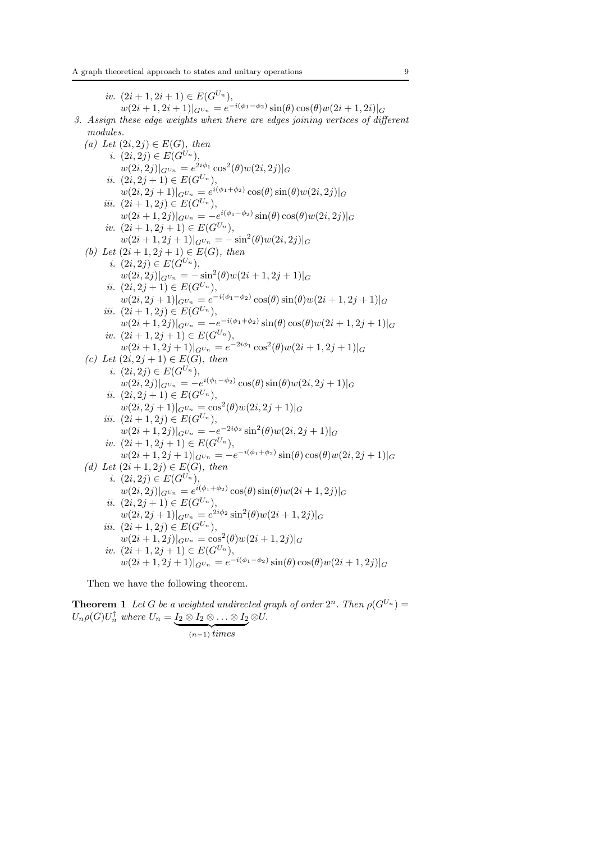iv.  $(2i + 1, 2i + 1) \in E(G^{U_n}),$  $w(2i+1, 2i+1)|_{G^{U_n}} = e^{-i(\phi_1 - \phi_2)} \sin(\theta) \cos(\theta) w(2i+1, 2i)|_G$ 3. Assign these edge weights when there are edges joining vertices of different modules. (a) Let  $(2i, 2j) \in E(G)$ , then i.  $(2i, 2j) \in E(G^{U_n}),$  $\langle w(2i, 2j)|_{G^{U_n}} = e^{2i\phi_1} \cos^2(\theta) w(2i, 2j)|_G$ ii.  $(2i, 2j + 1) \in E(G^{U_n}),$  $w(2i, 2j + 1)|_{G^{U_n}} = e^{i(\phi_1 + \phi_2)}\cos(\theta)\sin(\theta)w(2i, 2j)|_G$ iii.  $(2i + 1, 2j) \in E(G^{U_n}),$  $\langle w(2i + 1, 2j)|_{G^{U_n}} = -e^{i(\phi_1 - \phi_2)}\sin(\theta)\cos(\theta)w(2i, 2j)|_{G^{U_n}}$ iv.  $(2i + 1, 2j + 1) \in E(G^{U_n}),$  $w(2i+1, 2j+1)|_{G^{U_n}} = -\sin^2(\theta)w(2i, 2j)|_G$ (b) Let  $(2i + 1, 2j + 1) \in E(G)$ , then i.  $(2i, 2j) \in E(G^{U_n}),$  $w(2i, 2j)|_{G^{U_n}} = -\sin^2(\theta)w(2i+1, 2j+1)|_G$ ii.  $(2i, 2j + 1) \in E(G^{U_n}),$  $w(2i, 2j + 1)|_{G^{U_n}} = e^{-i(\phi_1 - \phi_2)} \cos(\theta) \sin(\theta) w(2i + 1, 2j + 1)|_G$ iii.  $(2i + 1, 2j) \in E(G^{U_n}),$  $w(2i+1,2j)|_{G^{U_n}} = -e^{-i(\phi_1+\phi_2)}\sin(\theta)\cos(\theta)w(2i+1,2j+1)|_G$ iv.  $(2i+1, 2j+1) \in E(G^{U_n}),$  $w(2i+1, 2j+1)|_{G^{U_n}} = e^{-2i\phi_1} \cos^2(\theta) w(2i+1, 2j+1)|_G$ (c) Let  $(2i, 2j + 1) \in E(G)$ , then i.  $(2i, 2j) \in E(G^{U_n}),$  $w(2i, 2j)|_{G^{U_n}} = -e^{i(\phi_1 - \phi_2)}\cos(\theta)\sin(\theta)w(2i, 2j + 1)|_G$ ii.  $(2i, 2j + 1) \in E(G^{U_n}),$  $w(2i, 2j+1)|_{G^{U_n}} = \cos^2(\theta)w(2i, 2j+1)|_G$ iii.  $(2i + 1, 2j) \in E(G^{U_n}),$  $w(2i+1, 2j)|_{G^{U_n}} = -e^{-2i\phi_2} \sin^2(\theta)w(2i, 2j+1)|_G$ iv.  $(2i+1, 2j+1) \in E(G^{U_n}),$  $w(2i+1, 2j+1)|_{G^{U_n}} = -e^{-i(\phi_1+\phi_2)}\sin(\theta)\cos(\theta)w(2i, 2j+1)|_G$ (d) Let  $(2i + 1, 2j) \in E(G)$ , then i.  $(2i, 2j) \in E(G^{U_n}),$  $w(2i, 2j)|_{G^{Un}} = e^{i(\phi_1 + \phi_2)} \cos(\theta) \sin(\theta) w(2i + 1, 2j)|_G$ ii.  $(2i, 2j + 1) \in E(G^{U_n}),$  $w(2i, 2j + 1)|_{G^{U_n}} = e^{2i\phi_2} \sin^2(\theta) w(2i + 1, 2j)|_G$ iii.  $(2i + 1, 2j) \in E(G^{U_n}),$  $w(2i+1,2j)|_{G^{U_n}} = \cos^2(\theta)w(2i+1,2j)|_G$ iv.  $(2i + 1, 2j + 1) \in E(G^{U_n}),$  $w(2i+1, 2j+1)|_{G^{U_n}} = e^{-i(\phi_1 - \phi_2)} \sin(\theta) \cos(\theta) w(2i+1, 2j)|_G$ Then we have the following theorem.

**Theorem 1** Let G be a weighted undirected graph of order  $2^n$ . Then  $\rho(G^{U_n}) =$  $U_n \rho(G) U_n^{\dagger}$  where  $U_n = \underbrace{I_2 \otimes I_2 \otimes \ldots \otimes I_2}$  $(n-1)$  times ⊗U.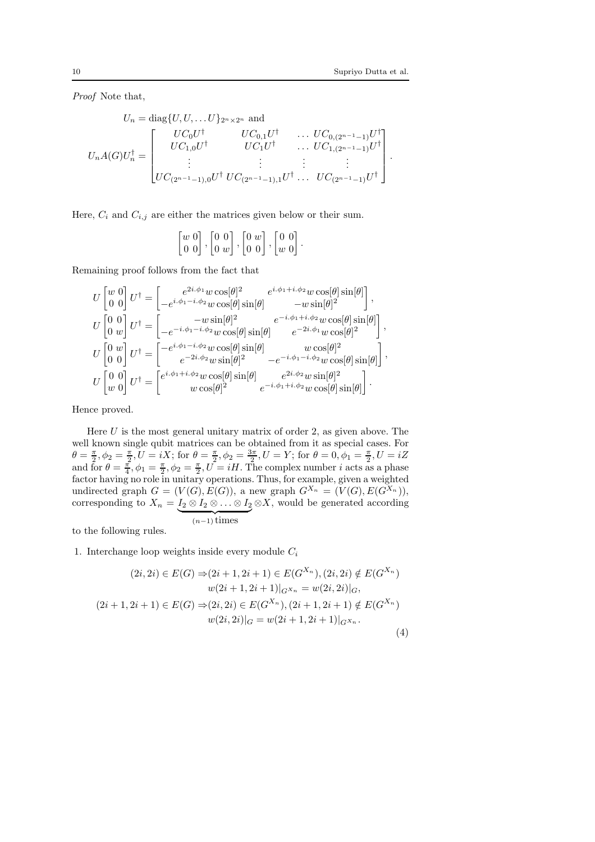Proof Note that,

$$
U_n = \text{diag}\{U, U, \dots U\}_{2^n \times 2^n} \text{ and}
$$
  
\n
$$
U_n A(G) U_n^{\dagger} = \begin{bmatrix} U C_0 U^{\dagger} & U C_{0,1} U^{\dagger} & \dots & U C_{0,(2^{n-1}-1)} U^{\dagger} \\ U C_{1,0} U^{\dagger} & U C_1 U^{\dagger} & \dots & U C_{1,(2^{n-1}-1)} U^{\dagger} \\ \vdots & \vdots & \vdots & \vdots \\ U C_{(2^{n-1}-1),0} U^{\dagger} & U C_{(2^{n-1}-1),1} U^{\dagger} & \dots & U C_{(2^{n-1}-1)} U^{\dagger} \end{bmatrix}.
$$

Here,  $C_i$  and  $C_{i,j}$  are either the matrices given below or their sum.

$$
\begin{bmatrix} w & 0 \\ 0 & 0 \end{bmatrix}, \begin{bmatrix} 0 & 0 \\ 0 & w \end{bmatrix}, \begin{bmatrix} 0 & w \\ 0 & 0 \end{bmatrix}, \begin{bmatrix} 0 & 0 \\ w & 0 \end{bmatrix}.
$$

Remaining proof follows from the fact that

$$
\begin{split} U\begin{bmatrix} w & 0 \\ 0 & 0 \end{bmatrix} U^{\dagger} &= \begin{bmatrix} e^{2i.\phi_1}w\cos[\theta]^2 & e^{i.\phi_1+i.\phi_2}w\cos[\theta]\sin[\theta] \\ -e^{i.\phi_1-i.\phi_2}w\cos[\theta]\sin[\theta] & -w\sin[\theta]^2 \end{bmatrix},\\ U\begin{bmatrix} 0 & 0 \\ 0 & w \end{bmatrix} U^{\dagger} &= \begin{bmatrix} -w\sin[\theta]^2 & e^{-i.\phi_1+i.\phi_2}w\cos[\theta]\sin[\theta] \\ -e^{-i.\phi_1-i.\phi_2}w\cos[\theta]\sin[\theta] & e^{-2i.\phi_1}w\cos[\theta]^2 \end{bmatrix},\\ U\begin{bmatrix} 0 & w \\ 0 & 0 \end{bmatrix} U^{\dagger} &= \begin{bmatrix} -e^{i.\phi_1-i.\phi_2}w\cos[\theta]\sin[\theta] & w\cos[\theta]^2 \\ e^{-2i.\phi_2}w\sin[\theta]^2 & -e^{-i.\phi_1-i.\phi_2}w\cos[\theta]\sin[\theta] \\ w\cos[\theta]^2 & e^{-i.\phi_1+i.\phi_2}w\cos[\theta]\sin[\theta] \end{bmatrix},\\ U\begin{bmatrix} 0 & 0 \\ w & 0 \end{bmatrix} U^{\dagger} &= \begin{bmatrix} e^{i.\phi_1+i.\phi_2}w\cos[\theta]\sin[\theta] & e^{2i.\phi_2}w\sin[\theta]^2 \\ w\cos[\theta]^2 & e^{-i.\phi_1+i.\phi_2}w\cos[\theta]\sin[\theta] \end{bmatrix}. \end{split}
$$

Hence proved.

Here  $U$  is the most general unitary matrix of order 2, as given above. The well known single qubit matrices can be obtained from it as special cases. For  $\theta = \frac{\pi}{2}, \phi_2 = \frac{\pi}{2}, U = iX$ ; for  $\theta = \frac{\pi}{2}, \phi_2 = \frac{3\pi}{2}, U = Y$ ; for  $\theta = 0, \phi_1 = \frac{\pi}{2}, U = iZ$ and for  $\theta = \frac{\pi}{4}$ ,  $\phi_1 = \frac{\pi}{2}$ ,  $\phi_2 = \frac{\pi}{2}$ ,  $U = iH$ . The complex number *i* acts as a phase factor having no role in unitary operations. Thus, for example, given a weighted undirected graph  $G = (V(G), E(G))$ , a new graph  $G^{X_n} = (V(G), E(G^{X_n})),$ corresponding to  $X_n = \underbrace{I_2 \otimes I_2 \otimes \ldots \otimes I_2}$  $\overbrace{(n-1) \text{ times}}$  $\otimes X$ , would be generated according

to the following rules.

1. Interchange loop weights inside every module  $C_i$ 

$$
(2i, 2i) \in E(G) \Rightarrow (2i + 1, 2i + 1) \in E(G^{X_n}), (2i, 2i) \notin E(G^{X_n})
$$

$$
w(2i + 1, 2i + 1)|_{G^{X_n}} = w(2i, 2i)|_G,
$$

$$
(2i + 1, 2i + 1) \in E(G) \Rightarrow (2i, 2i) \in E(G^{X_n}), (2i + 1, 2i + 1) \notin E(G^{X_n})
$$

$$
w(2i, 2i)|_G = w(2i + 1, 2i + 1)|_{G^{X_n}}.
$$
(4)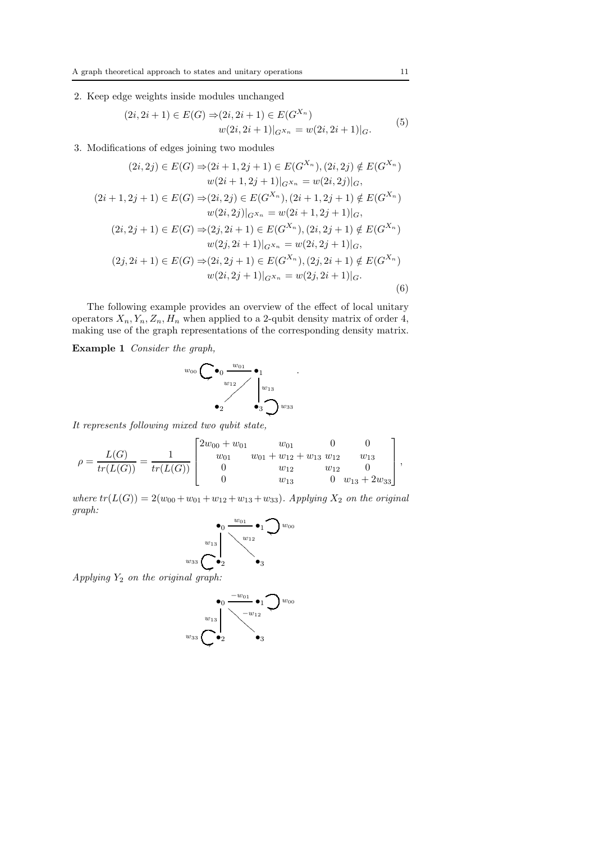## 2. Keep edge weights inside modules unchanged

$$
(2i, 2i+1) \in E(G) \Rightarrow (2i, 2i+1) \in E(G^{X_n})
$$
  

$$
w(2i, 2i+1)|_{G^{X_n}} = w(2i, 2i+1)|_G.
$$
 (5)

3. Modifications of edges joining two modules

$$
(2i,2j) \in E(G) \Rightarrow (2i+1,2j+1) \in E(G^{X_n}), (2i,2j) \notin E(G^{X_n})
$$
  
\n
$$
w(2i+1,2j+1)|_{G^{X_n}} = w(2i,2j)|_G,
$$
  
\n
$$
(2i+1,2j+1) \in E(G) \Rightarrow (2i,2j) \in E(G^{X_n}), (2i+1,2j+1) \notin E(G^{X_n})
$$
  
\n
$$
w(2i,2j)|_{G^{X_n}} = w(2i+1,2j+1)|_G,
$$
  
\n
$$
(2i,2j+1) \in E(G) \Rightarrow (2j,2i+1) \in E(G^{X_n}), (2i,2j+1) \notin E(G^{X_n})
$$
  
\n
$$
w(2j,2i+1)|_{G^{X_n}} = w(2i,2j+1)|_G,
$$
  
\n
$$
(2j,2i+1) \in E(G) \Rightarrow (2i,2j+1) \in E(G^{X_n}), (2j,2i+1) \notin E(G^{X_n})
$$
  
\n
$$
w(2i,2j+1)|_{G^{X_n}} = w(2j,2i+1)|_G.
$$
  
\n(6)

The following example provides an overview of the effect of local unitary operators  $X_n, Y_n, Z_n, H_n$  when applied to a 2-qubit density matrix of order 4, making use of the graph representations of the corresponding density matrix.

Example 1 Consider the graph,



It represents following mixed two qubit state,

$$
\rho = \frac{L(G)}{tr(L(G))} = \frac{1}{tr(L(G))} \begin{bmatrix} 2w_{00} + w_{01} & w_{01} & 0 & 0 \\ w_{01} & w_{01} + w_{12} + w_{13} & w_{12} & w_{13} \\ 0 & w_{12} & w_{12} & 0 \\ 0 & w_{13} & 0 & w_{13} + 2w_{33} \end{bmatrix},
$$

where  $tr(L(G)) = 2(w_{00} + w_{01} + w_{12} + w_{13} + w_{33})$ . Applying  $X_2$  on the original graph:

$$
\begin{array}{c}\n\bullet_0 \xrightarrow{w_{01}} \bullet_1 \bigcirc w_{00} \\
\downarrow^{w_{13}} \searrow^{w_{12}} \searrow^{w_{12}} \\
\hline\n\circ_2 \searrow^{w_{23}} \bullet_3\n\end{array}
$$

Applying  $Y_2$  on the original graph:

 $w_3$ 

$$
\begin{array}{c}\n\bullet_0 \xrightarrow{-w_{01}} \bullet_1 \bigcirc w_{00} \\
w_{13} \\
w_{33} \bigcirc \bullet_2 \qquad \bullet_3\n\end{array}
$$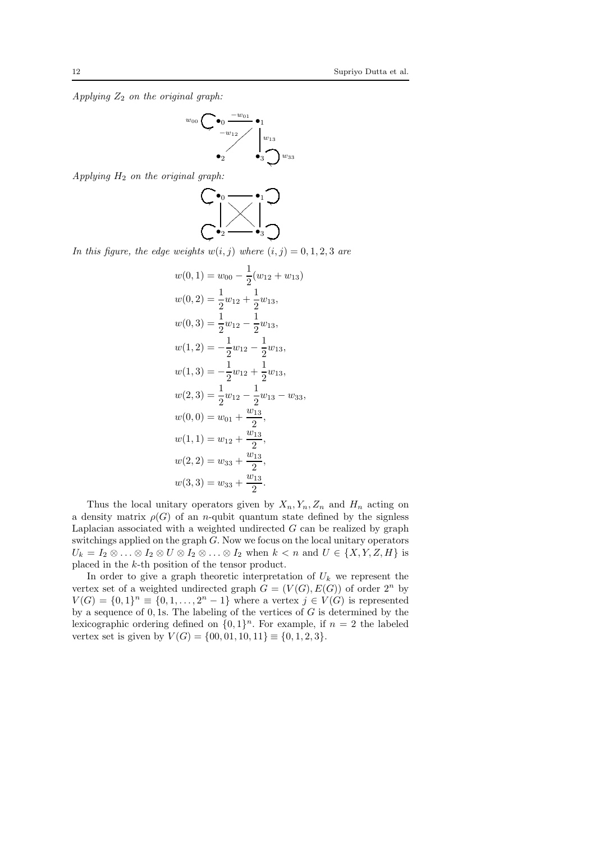Applying  $Z_2$  on the original graph:

$$
w_{00} \bigcirc \bigcirc \bullet_{0} \frac{-w_{01}}{-w_{12}} \bullet_{1}
$$
  

$$
\bullet_{2}
$$
  

$$
\bullet_{3}
$$
  

$$
\bigcirc w_{33}
$$

Applying  $H_2$  on the original graph:



In this figure, the edge weights  $w(i, j)$  where  $(i, j) = 0, 1, 2, 3$  are

$$
w(0, 1) = w_{00} - \frac{1}{2}(w_{12} + w_{13})
$$
  
\n
$$
w(0, 2) = \frac{1}{2}w_{12} + \frac{1}{2}w_{13},
$$
  
\n
$$
w(0, 3) = \frac{1}{2}w_{12} - \frac{1}{2}w_{13},
$$
  
\n
$$
w(1, 2) = -\frac{1}{2}w_{12} - \frac{1}{2}w_{13},
$$
  
\n
$$
w(1, 3) = -\frac{1}{2}w_{12} + \frac{1}{2}w_{13},
$$
  
\n
$$
w(2, 3) = \frac{1}{2}w_{12} - \frac{1}{2}w_{13} - w_{33},
$$
  
\n
$$
w(0, 0) = w_{01} + \frac{w_{13}}{2},
$$
  
\n
$$
w(1, 1) = w_{12} + \frac{w_{13}}{2},
$$
  
\n
$$
w(2, 2) = w_{33} + \frac{w_{13}}{2},
$$
  
\n
$$
w(3, 3) = w_{33} + \frac{w_{13}}{2}.
$$

Thus the local unitary operators given by  $X_n, Y_n, Z_n$  and  $H_n$  acting on a density matrix  $\rho(G)$  of an *n*-qubit quantum state defined by the signless Laplacian associated with a weighted undirected  $G$  can be realized by graph switchings applied on the graph  $G$ . Now we focus on the local unitary operators  $U_k = I_2 \otimes \ldots \otimes I_2 \otimes U \otimes I_2 \otimes \ldots \otimes I_2$  when  $k < n$  and  $U \in \{X, Y, Z, H\}$  is placed in the k-th position of the tensor product.

In order to give a graph theoretic interpretation of  $U_k$  we represent the vertex set of a weighted undirected graph  $G = (V(G), E(G))$  of order  $2^n$  by  $V(G) = \{0, 1\}^n \equiv \{0, 1, \ldots, 2^n - 1\}$  where a vertex  $j \in V(G)$  is represented by a sequence of  $0, 1$ s. The labeling of the vertices of  $G$  is determined by the lexicographic ordering defined on  $\{0, 1\}^n$ . For example, if  $n = 2$  the labeled vertex set is given by  $V(G) = \{00, 01, 10, 11\} \equiv \{0, 1, 2, 3\}.$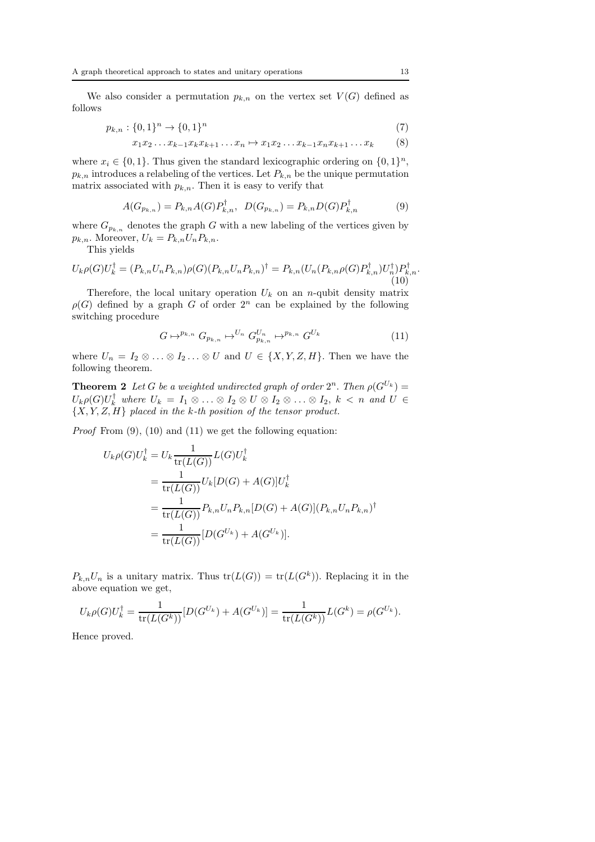We also consider a permutation  $p_{k,n}$  on the vertex set  $V(G)$  defined as follows

$$
p_{k,n}: \{0,1\}^n \to \{0,1\}^n \tag{7}
$$

$$
x_1x_2 \ldots x_{k-1}x_kx_{k+1} \ldots x_n \mapsto x_1x_2 \ldots x_{k-1}x_nx_{k+1} \ldots x_k \hspace{1cm} (8)
$$

where  $x_i \in \{0, 1\}$ . Thus given the standard lexicographic ordering on  $\{0, 1\}^n$ ,  $p_{k,n}$  introduces a relabeling of the vertices. Let  $P_{k,n}$  be the unique permutation matrix associated with  $p_{k,n}$ . Then it is easy to verify that

$$
A(G_{p_{k,n}}) = P_{k,n}A(G)P_{k,n}^{\dagger}, \quad D(G_{p_{k,n}}) = P_{k,n}D(G)P_{k,n}^{\dagger}
$$
(9)

where  $G_{p_{k,n}}$  denotes the graph G with a new labeling of the vertices given by  $p_{k,n}$ . Moreover,  $U_k = P_{k,n} U_n P_{k,n}$ .

This yields

$$
U_{k}\rho(G)U_{k}^{\dagger} = (P_{k,n}U_{n}P_{k,n})\rho(G)(P_{k,n}U_{n}P_{k,n})^{\dagger} = P_{k,n}(U_{n}(P_{k,n}\rho(G)P_{k,n}^{\dagger})U_{n}^{\dagger})P_{k,n}^{\dagger}.
$$
\n(10)

Therefore, the local unitary operation  $U_k$  on an n-qubit density matrix  $\rho(G)$  defined by a graph G of order  $2^n$  can be explained by the following switching procedure

$$
G \mapsto^{p_{k,n}} G_{p_{k,n}} \mapsto^{U_n} G_{p_{k,n}}^{U_n} \mapsto^{p_{k,n}} G^{U_k} \tag{11}
$$

where  $U_n = I_2 \otimes \ldots \otimes I_2 \ldots \otimes U$  and  $U \in \{X, Y, Z, H\}$ . Then we have the following theorem.

**Theorem 2** Let G be a weighted undirected graph of order  $2^n$ . Then  $\rho(G^{U_k}) =$  $U_k \rho(G) U_k^{\top}$  where  $U_k = I_1 \otimes \ldots \otimes I_2 \otimes U \otimes I_2 \otimes \ldots \otimes I_2, k \lt n$  and  $U \in$  $\{X, Y, Z, H\}$  placed in the k-th position of the tensor product.

*Proof* From  $(9)$ ,  $(10)$  and  $(11)$  we get the following equation:

$$
U_k \rho(G) U_k^{\dagger} = U_k \frac{1}{\text{tr}(L(G))} L(G) U_k^{\dagger}
$$
  
= 
$$
\frac{1}{\text{tr}(L(G))} U_k[D(G) + A(G)] U_k^{\dagger}
$$
  
= 
$$
\frac{1}{\text{tr}(L(G))} P_{k,n} U_n P_{k,n} [D(G) + A(G)] (P_{k,n} U_n P_{k,n})^{\dagger}
$$
  
= 
$$
\frac{1}{\text{tr}(L(G))} [D(G^{U_k}) + A(G^{U_k})].
$$

 $P_{k,n}U_n$  is a unitary matrix. Thus  $tr(L(G)) = tr(L(G^k))$ . Replacing it in the above equation we get,

$$
U_k \rho(G) U_k^{\dagger} = \frac{1}{\text{tr}(L(G^k))} [D(G^{U_k}) + A(G^{U_k})] = \frac{1}{\text{tr}(L(G^k))} L(G^k) = \rho(G^{U_k}).
$$

Hence proved.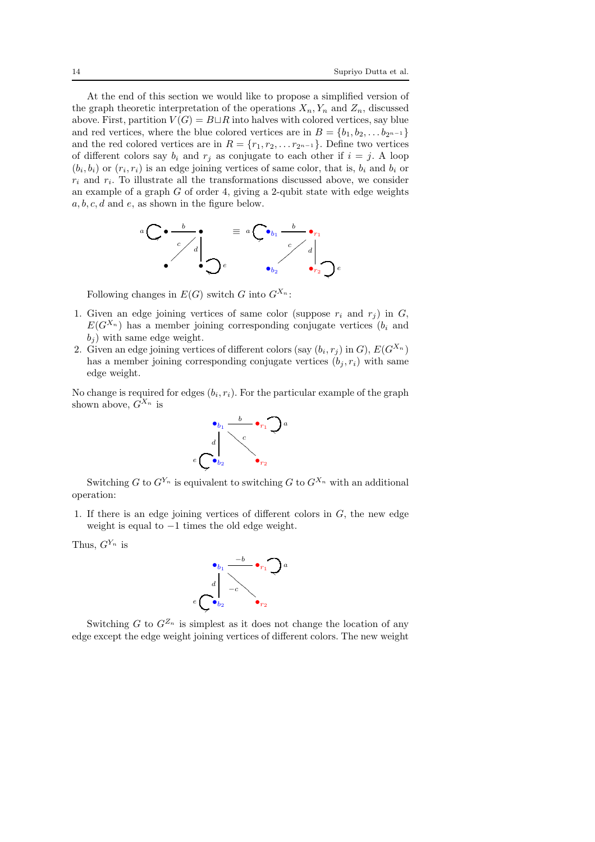At the end of this section we would like to propose a simplified version of the graph theoretic interpretation of the operations  $X_n, Y_n$  and  $Z_n$ , discussed above. First, partition  $V(G) = B \sqcup R$  into halves with colored vertices, say blue and red vertices, where the blue colored vertices are in  $B = \{b_1, b_2, \ldots b_{2n-1}\}\$ and the red colored vertices are in  $R = \{r_1, r_2, \ldots r_{2^{n-1}}\}$ . Define two vertices of different colors say  $b_i$  and  $r_j$  as conjugate to each other if  $i = j$ . A loop  $(b_i, b_i)$  or  $(r_i, r_i)$  is an edge joining vertices of same color, that is,  $b_i$  and  $b_i$  or  $r_i$  and  $r_i$ . To illustrate all the transformations discussed above, we consider an example of a graph  $G$  of order 4, giving a 2-qubit state with edge weights a, b, c, d and e, as shown in the figure below.



Following changes in  $E(G)$  switch G into  $G^{X_n}$ :

- 1. Given an edge joining vertices of same color (suppose  $r_i$  and  $r_j$ ) in G,  $E(G^{X_n})$  has a member joining corresponding conjugate vertices  $(b_i \text{ and } b_j)$  $b_i$ ) with same edge weight.
- 2. Given an edge joining vertices of different colors (say  $(b_i, r_j)$  in  $G$ ),  $E(G^{X_n})$ has a member joining corresponding conjugate vertices  $(b_j, r_i)$  with same edge weight.

No change is required for edges  $(b_i, r_i)$ . For the particular example of the graph shown above,  $G^{X_n}$  is



Switching G to  $G^{Y_n}$  is equivalent to switching G to  $G^{X_n}$  with an additional operation:

1. If there is an edge joining vertices of different colors in  $G$ , the new edge weight is equal to −1 times the old edge weight.

Thus,  $G^{Y_n}$  is



Switching G to  $G^{Z_n}$  is simplest as it does not change the location of any edge except the edge weight joining vertices of different colors. The new weight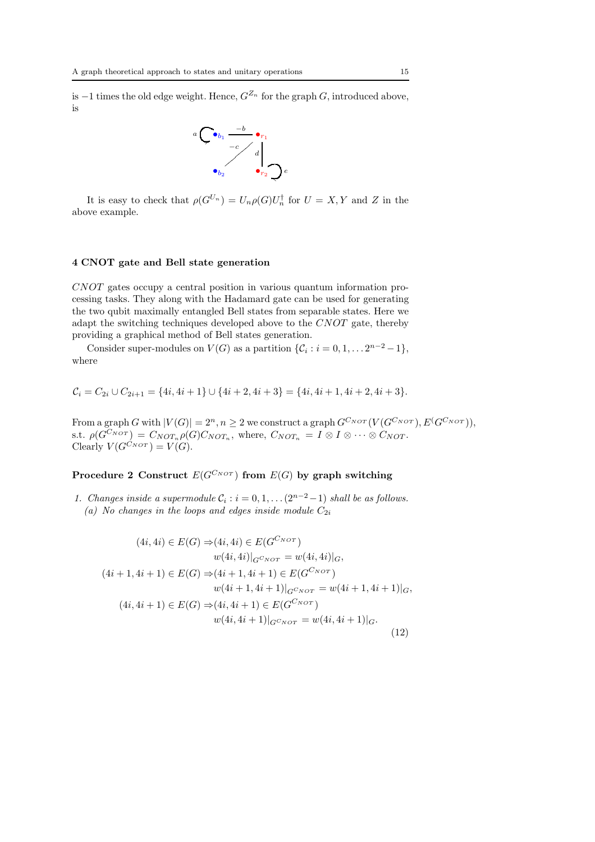is −1 times the old edge weight. Hence,  $G^{Z_n}$  for the graph G, introduced above, is



It is easy to check that  $\rho(G^{U_n}) = U_n \rho(G) U_n^{\dagger}$  for  $U = X, Y$  and Z in the above example.

#### 4 CNOT gate and Bell state generation

CNOT gates occupy a central position in various quantum information processing tasks. They along with the Hadamard gate can be used for generating the two qubit maximally entangled Bell states from separable states. Here we adapt the switching techniques developed above to the CNOT gate, thereby providing a graphical method of Bell states generation.

Consider super-modules on  $V(G)$  as a partition  $\{\mathcal{C}_i : i = 0, 1, \dots 2^{n-2} - 1\},\$ where

$$
C_i = C_{2i} \cup C_{2i+1} = \{4i, 4i+1\} \cup \{4i+2, 4i+3\} = \{4i, 4i+1, 4i+2, 4i+3\}.
$$

From a graph G with  $|V(G)| = 2^n, n \geq 2$  we construct a graph  $G^{C_{NOT}}(V(G^{C_{NOT}}), E(G^{C_{NOT}}))$ , s.t.  $\rho(G^{C_{NOT}}) = C_{NOT_n} \rho(G) C_{NOT_n}$ , where,  $C_{NOT_n} = I \otimes I \otimes \cdots \otimes C_{NOT}$ . Clearly  $V(G^{C_{NOT}}) = V(G)$ .

## Procedure 2 Construct  $E(G^{C_{NOT}})$  from  $E(G)$  by graph switching

1. Changes inside a supermodule  $C_i$ :  $i = 0, 1, \ldots (2^{n-2} - 1)$  shall be as follows. (a) No changes in the loops and edges inside module  $C_{2i}$ 

$$
(4i, 4i) \in E(G) \Rightarrow (4i, 4i) \in E(G^{C_{NOT}})
$$
  
\n
$$
w(4i, 4i)|_{G^{C_{NOT}}} = w(4i, 4i)|_{G},
$$
  
\n
$$
(4i + 1, 4i + 1) \in E(G) \Rightarrow (4i + 1, 4i + 1) \in E(G^{C_{NOT}})
$$
  
\n
$$
w(4i + 1, 4i + 1)|_{G^{C_{NOT}}} = w(4i + 1, 4i + 1)|_{G},
$$
  
\n
$$
(4i, 4i + 1) \in E(G) \Rightarrow (4i, 4i + 1) \in E(G^{C_{NOT}})
$$
  
\n
$$
w(4i, 4i + 1)|_{G^{C_{NOT}}} = w(4i, 4i + 1)|_{G}.
$$
  
\n(12)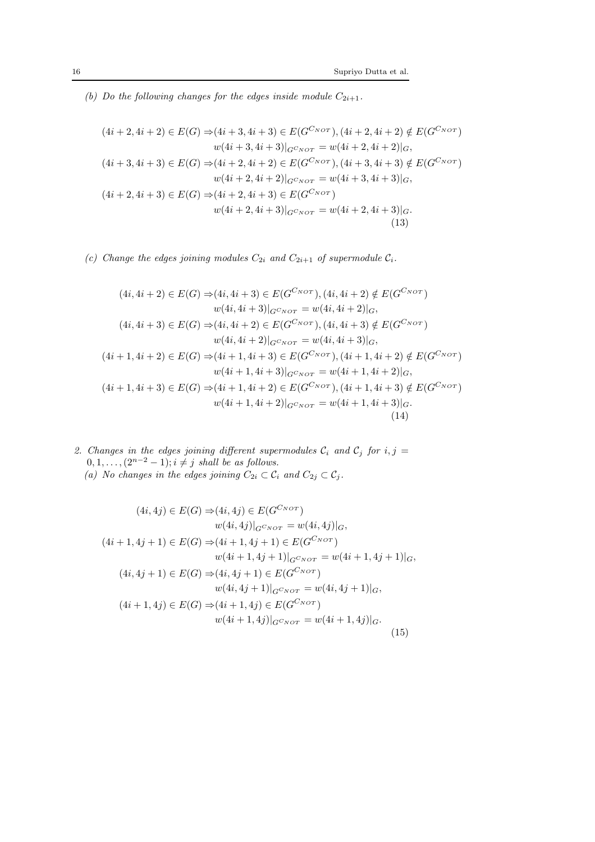(b) Do the following changes for the edges inside module  $C_{2i+1}$ .

$$
(4i + 2, 4i + 2) \in E(G) \Rightarrow (4i + 3, 4i + 3) \in E(G^{CNOT}), (4i + 2, 4i + 2) \notin E(G^{CNOT})
$$
  
\n
$$
w(4i + 3, 4i + 3)|_{G^{CNOT}} = w(4i + 2, 4i + 2)|_{G},
$$
  
\n
$$
(4i + 3, 4i + 3) \in E(G) \Rightarrow (4i + 2, 4i + 2) \in E(G^{CNOT}), (4i + 3, 4i + 3) \notin E(G^{CNOT})
$$
  
\n
$$
w(4i + 2, 4i + 2)|_{G^{CNOT}} = w(4i + 3, 4i + 3)|_{G},
$$
  
\n
$$
(4i + 2, 4i + 3) \in E(G) \Rightarrow (4i + 2, 4i + 3) \in E(G^{CNOT})
$$
  
\n
$$
w(4i + 2, 4i + 3)|_{G^{CNOT}} = w(4i + 2, 4i + 3)|_{G}.
$$
  
\n(13)

(c) Change the edges joining modules  $C_{2i}$  and  $C_{2i+1}$  of supermodule  $C_i$ .

$$
(4i, 4i + 2) \in E(G) \Rightarrow (4i, 4i + 3) \in E(G^{C_{NOT}}), (4i, 4i + 2) \notin E(G^{C_{NOT}})
$$
  
\n
$$
w(4i, 4i + 3)|_{G^{CNOT}} = w(4i, 4i + 2)|_{G},
$$
  
\n
$$
(4i, 4i + 3) \in E(G) \Rightarrow (4i, 4i + 2) \in E(G^{CNOT}), (4i, 4i + 3) \notin E(G^{CNOT})
$$
  
\n
$$
w(4i, 4i + 2)|_{G^{CNOT}} = w(4i, 4i + 3)|_{G},
$$
  
\n
$$
(4i + 1, 4i + 2) \in E(G) \Rightarrow (4i + 1, 4i + 3) \in E(G^{CNOT}), (4i + 1, 4i + 2) \notin E(G^{CNOT})
$$
  
\n
$$
w(4i + 1, 4i + 3)|_{G^{CNOT}} = w(4i + 1, 4i + 2)|_{G},
$$
  
\n
$$
(4i + 1, 4i + 3) \in E(G) \Rightarrow (4i + 1, 4i + 2) \in E(G^{CNOT}), (4i + 1, 4i + 3) \notin E(G^{CNOT})
$$
  
\n
$$
w(4i + 1, 4i + 2)|_{G^{CNOT}} = w(4i + 1, 4i + 3)|_{G}.
$$
  
\n
$$
(14)
$$

2. Changes in the edges joining different supermodules  $C_i$  and  $C_j$  for  $i, j =$  $0, 1, \ldots, (2^{n-2}-1); i \neq j$  shall be as follows.

(a) No changes in the edges joining 
$$
C_{2i} \subset C_i
$$
 and  $C_{2j} \subset C_j$ .

$$
(4i, 4j) \in E(G) \Rightarrow (4i, 4j) \in E(G^{CNOT})
$$
  
\n
$$
w(4i, 4j)|_{G^{CNOT}} = w(4i, 4j)|_G,
$$
  
\n
$$
(4i + 1, 4j + 1) \in E(G) \Rightarrow (4i + 1, 4j + 1) \in E(G^{CNOT})
$$
  
\n
$$
w(4i + 1, 4j + 1)|_{G^{CNOT}} = w(4i + 1, 4j + 1)|_G,
$$
  
\n
$$
(4i, 4j + 1) \in E(G) \Rightarrow (4i, 4j + 1) \in E(G^{CNOT})
$$
  
\n
$$
w(4i, 4j + 1)|_{G^{CNOT}} = w(4i, 4j + 1)|_G,
$$
  
\n
$$
(4i + 1, 4j) \in E(G) \Rightarrow (4i + 1, 4j) \in E(G^{CNOT})
$$
  
\n
$$
w(4i + 1, 4j)|_{G^{CNOT}} = w(4i + 1, 4j)|_G.
$$
  
\n(15)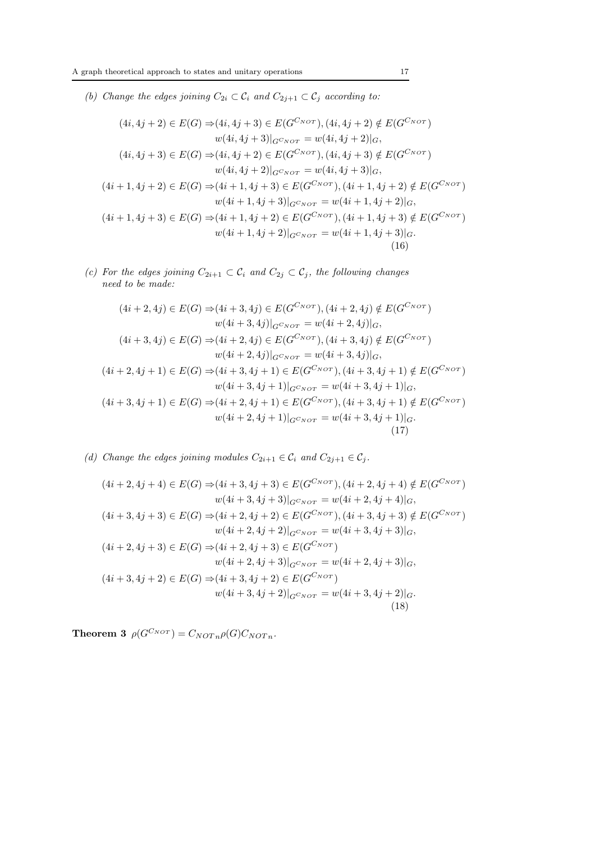(b) Change the edges joining  $C_{2i} \subset \mathcal{C}_i$  and  $C_{2j+1} \subset \mathcal{C}_j$  according to:

$$
(4i, 4j + 2) \in E(G) \Rightarrow (4i, 4j + 3) \in E(G^{C_{NOT}}), (4i, 4j + 2) \notin E(G^{C_{NOT}})
$$
  
\n
$$
w(4i, 4j + 3)|_{G^{CNOT}} = w(4i, 4j + 2)|_{G},
$$
  
\n
$$
(4i, 4j + 3) \in E(G) \Rightarrow (4i, 4j + 2) \in E(G^{CNOT}), (4i, 4j + 3) \notin E(G^{CNOT})
$$
  
\n
$$
w(4i, 4j + 2)|_{G^{CNOT}} = w(4i, 4j + 3)|_{G},
$$
  
\n
$$
(4i + 1, 4j + 2) \in E(G) \Rightarrow (4i + 1, 4j + 3) \in E(G^{CNOT}), (4i + 1, 4j + 2) \notin E(G^{CNOT})
$$
  
\n
$$
w(4i + 1, 4j + 3)|_{G^{CNOT}} = w(4i + 1, 4j + 2)|_{G},
$$
  
\n
$$
(4i + 1, 4j + 3) \in E(G) \Rightarrow (4i + 1, 4j + 2) \in E(G^{CNOT}), (4i + 1, 4j + 3) \notin E(G^{CNOT})
$$
  
\n
$$
w(4i + 1, 4j + 2)|_{G^{CNOT}} = w(4i + 1, 4j + 3)|_{G}.
$$
  
\n(16)

(c) For the edges joining  $C_{2i+1} \subset C_i$  and  $C_{2j} \subset C_j$ , the following changes need to be made:

$$
(4i + 2, 4j) \in E(G) \Rightarrow (4i + 3, 4j) \in E(G^{C_{NOT}}), (4i + 2, 4j) \notin E(G^{C_{NOT}})
$$
  
\n
$$
w(4i + 3, 4j)|_{G^{C_{NOT}}} = w(4i + 2, 4j)|_{G},
$$
  
\n
$$
(4i + 3, 4j) \in E(G) \Rightarrow (4i + 2, 4j) \in E(G^{C_{NOT}}), (4i + 3, 4j) \notin E(G^{C_{NOT}})
$$
  
\n
$$
w(4i + 2, 4j)|_{G^{C_{NOT}}} = w(4i + 3, 4j)|_{G},
$$
  
\n
$$
(4i + 2, 4j + 1) \in E(G) \Rightarrow (4i + 3, 4j + 1) \in E(G^{C_{NOT}}), (4i + 3, 4j + 1) \notin E(G^{C_{NOT}})
$$
  
\n
$$
w(4i + 3, 4j + 1)|_{G^{C_{NOT}}} = w(4i + 3, 4j + 1)|_{G},
$$
  
\n
$$
(4i + 3, 4j + 1) \in E(G) \Rightarrow (4i + 2, 4j + 1) \in E(G^{C_{NOT}}), (4i + 3, 4j + 1) \notin E(G^{C_{NOT}})
$$
  
\n
$$
w(4i + 2, 4j + 1)|_{G^{C_{NOT}}} = w(4i + 3, 4j + 1)|_{G}.
$$
  
\n(17)

(d) Change the edges joining modules  $C_{2i+1} \in \mathcal{C}_i$  and  $C_{2j+1} \in \mathcal{C}_j$ .

$$
(4i + 2, 4j + 4) \in E(G) \Rightarrow (4i + 3, 4j + 3) \in E(G^{C_{NOT}}), (4i + 2, 4j + 4) \notin E(G^{C_{NOT}})
$$
  
\n
$$
w(4i + 3, 4j + 3)|_{G^{C_{NOT}}} = w(4i + 2, 4j + 4)|_{G},
$$
  
\n
$$
(4i + 3, 4j + 3) \in E(G) \Rightarrow (4i + 2, 4j + 2) \in E(G^{C_{NOT}}), (4i + 3, 4j + 3) \notin E(G^{C_{NOT}})
$$
  
\n
$$
w(4i + 2, 4j + 2)|_{G^{C_{NOT}}} = w(4i + 3, 4j + 3)|_{G},
$$
  
\n
$$
(4i + 2, 4j + 3) \in E(G) \Rightarrow (4i + 2, 4j + 3) \in E(G^{C_{NOT}})
$$
  
\n
$$
w(4i + 2, 4j + 3)|_{G^{C_{NOT}}} = w(4i + 2, 4j + 3)|_{G},
$$
  
\n
$$
(4i + 3, 4j + 2) \in E(G) \Rightarrow (4i + 3, 4j + 2) \in E(G^{C_{NOT}})
$$
  
\n
$$
w(4i + 3, 4j + 2)|_{G^{C_{NOT}}} = w(4i + 3, 4j + 2)|_{G}.
$$
  
\n(18)

**Theorem 3**  $\rho(G^{C_{NOT}}) = C_{NOTn} \rho(G) C_{NOTn}$ .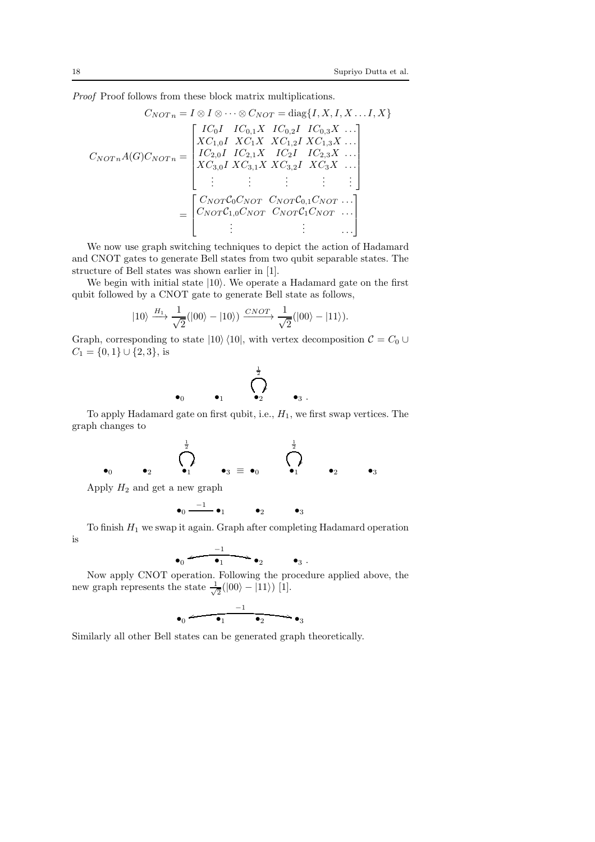Proof Proof follows from these block matrix multiplications.

$$
C_{NOT} = I \otimes I \otimes \cdots \otimes C_{NOT} = \text{diag}\{I, X, I, X \dots I, X\}
$$

$$
C_{NOT} \cdot A(G) C_{NOT} = \begin{bmatrix} IC_{0}I & IC_{0,1}X & IC_{0,2}I & IC_{0,3}X & \cdots \\ XC_{1,0}I & XC_{1}X & XC_{1,2}I & XC_{1,3}X & \cdots \\ IC_{2,0}I & IC_{2,1}X & IC_{2}I & IC_{2,3}X & \cdots \\ XC_{3,0}I & XC_{3,1}X & XC_{3,2}I & XC_{3}X & \cdots \\ \vdots & \vdots & \vdots & \vdots & \vdots \\ C_{NOT}C_{0}C_{NOT} & C_{NOT}C_{0,1}C_{NOT} & \cdots \\ C_{NOT}C_{1,0}C_{NOT} & C_{NOT}C_{1}C_{NOT} & \cdots \\ \vdots & \vdots & \vdots & \cdots \end{bmatrix}
$$

We now use graph switching techniques to depict the action of Hadamard and CNOT gates to generate Bell states from two qubit separable states. The structure of Bell states was shown earlier in [1].

We begin with initial state  $|10\rangle$ . We operate a Hadamard gate on the first qubit followed by a CNOT gate to generate Bell state as follows,

$$
|10\rangle \xrightarrow{H_1} \frac{1}{\sqrt{2}}(|00\rangle - |10\rangle) \xrightarrow{CNOT} \frac{1}{\sqrt{2}}(|00\rangle - |11\rangle).
$$

Graph, corresponding to state  $|10\rangle\langle10|$ , with vertex decomposition  $C = C_0 \cup$  $C_1 = \{0, 1\} \cup \{2, 3\},\$ is

$$
\bullet_0 \qquad \bullet_1 \qquad \bigodot_{\bullet_2}^{\frac{1}{2}} \qquad \bullet_3 \ .
$$

To apply Hadamard gate on first qubit, i.e.,  $H_1$ , we first swap vertices. The graph changes to

$$
\bullet_0 \qquad \bullet_2 \qquad \overbrace{\bullet_1}^{\tfrac{1}{2}} \qquad \bullet_3 \equiv \bullet_0 \qquad \overbrace{\bullet_1}^{\tfrac{1}{2}} \qquad \bullet_2 \qquad \bullet_3
$$

Apply  $H_2$  and get a new graph

$$
\bullet_0 \stackrel{-1}{\longrightarrow} \bullet_1 \qquad \bullet_2 \qquad \bullet_3
$$

To finish  $H_1$  we swap it again. Graph after completing Hadamard operation is

$$
\bullet_0 \xleftarrow{\phantom{aa}^{-1}} \bullet_2 \phantom{aa} \bullet_3 .
$$

Now apply CNOT operation. Following the procedure applied above, the new graph represents the state  $\frac{1}{\sqrt{2}}$  $\frac{1}{2}(|00\rangle - |11\rangle)$  [1].

$$
\bullet_0 \xrightarrow{\phantom{aa} -1\phantom{aa}} \bullet_1 \qquad \bullet_2 \qquad \bullet_3
$$

Similarly all other Bell states can be generated graph theoretically.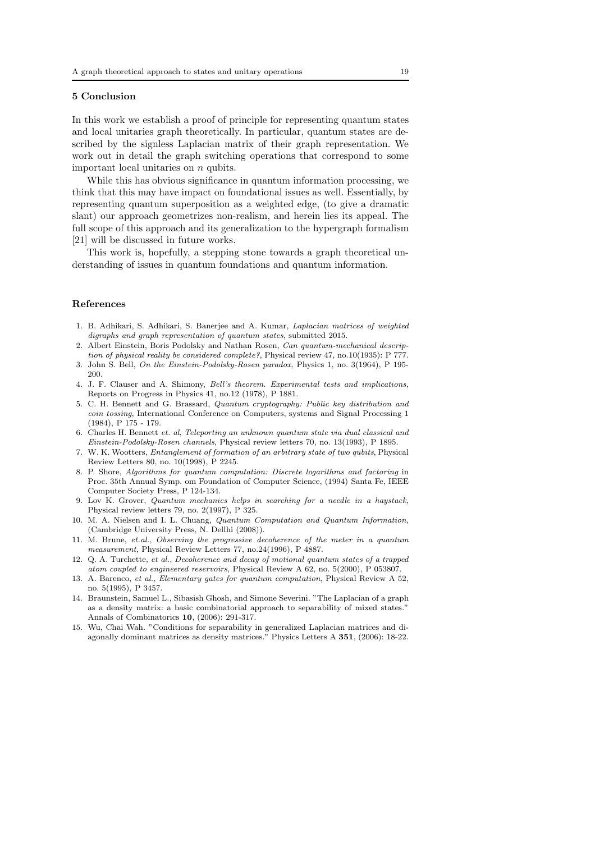### 5 Conclusion

In this work we establish a proof of principle for representing quantum states and local unitaries graph theoretically. In particular, quantum states are described by the signless Laplacian matrix of their graph representation. We work out in detail the graph switching operations that correspond to some important local unitaries on n qubits.

While this has obvious significance in quantum information processing, we think that this may have impact on foundational issues as well. Essentially, by representing quantum superposition as a weighted edge, (to give a dramatic slant) our approach geometrizes non-realism, and herein lies its appeal. The full scope of this approach and its generalization to the hypergraph formalism [21] will be discussed in future works.

This work is, hopefully, a stepping stone towards a graph theoretical understanding of issues in quantum foundations and quantum information.

### References

- 1. B. Adhikari, S. Adhikari, S. Banerjee and A. Kumar, *Laplacian matrices of weighted digraphs and graph representation of quantum states*, submitted 2015.
- 2. Albert Einstein, Boris Podolsky and Nathan Rosen, *Can quantum-mechanical description of physical reality be considered complete?*, Physical review 47, no.10(1935): P 777.
- 3. John S. Bell, *On the Einstein-Podolsky-Rosen paradox*, Physics 1, no. 3(1964), P 195- 200.
- 4. J. F. Clauser and A. Shimony, *Bell's theorem. Experimental tests and implications*, Reports on Progress in Physics 41, no.12 (1978), P 1881.
- 5. C. H. Bennett and G. Brassard, *Quantum cryptography: Public key distribution and coin tossing*, International Conference on Computers, systems and Signal Processing 1 (1984), P 175 - 179.
- 6. Charles H. Bennett *et. al*, *Teleporting an unknown quantum state via dual classical and Einstein-Podolsky-Rosen channels*, Physical review letters 70, no. 13(1993), P 1895.
- 7. W. K. Wootters, *Entanglement of formation of an arbitrary state of two qubits*, Physical Review Letters 80, no. 10(1998), P 2245.
- 8. P. Shore, *Algorithms for quantum computation: Discrete logarithms and factoring* in Proc. 35th Annual Symp. om Foundation of Computer Science, (1994) Santa Fe, IEEE Computer Society Press, P 124-134.
- 9. Lov K. Grover, *Quantum mechanics helps in searching for a needle in a haystack*, Physical review letters 79, no. 2(1997), P 325.
- 10. M. A. Nielsen and I. L. Chuang, *Quantum Computation and Quantum Information*, (Cambridge University Press, N. Dellhi (2008)).
- 11. M. Brune, *et.al.*, *Observing the progressive decoherence of the meter in a quantum measurement*, Physical Review Letters 77, no.24(1996), P 4887.
- 12. Q. A. Turchette, *et al.*, *Decoherence and decay of motional quantum states of a trapped atom coupled to engineered reservoirs*, Physical Review A 62, no. 5(2000), P 053807.
- 13. A. Barenco, *et al.*, *Elementary gates for quantum computation*, Physical Review A 52, no. 5(1995), P 3457.
- 14. Braunstein, Samuel L., Sibasish Ghosh, and Simone Severini. "The Laplacian of a graph as a density matrix: a basic combinatorial approach to separability of mixed states." Annals of Combinatorics 10, (2006): 291-317.
- 15. Wu, Chai Wah. "Conditions for separability in generalized Laplacian matrices and diagonally dominant matrices as density matrices." Physics Letters A 351, (2006): 18-22.